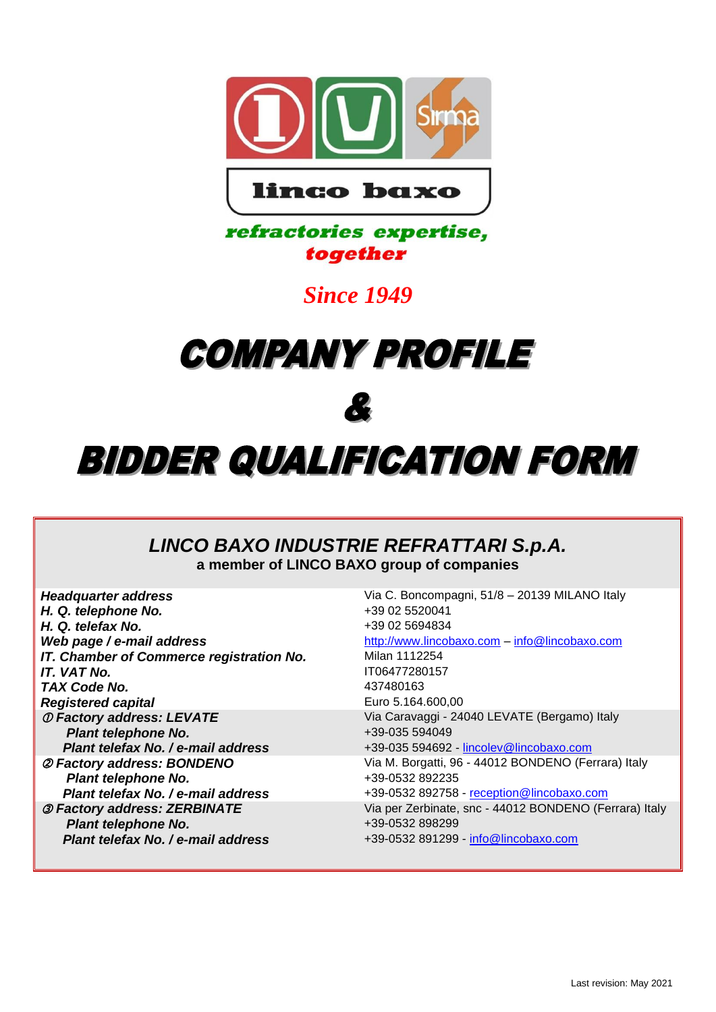

### refractories expertise, together

## *Since 1949*

# **COMPANY PROFILE**

## Ł

## **BIDDER QUALIFICATION FORM**

### *LINCO BAXO INDUSTRIE REFRATTARI S.p.A.* **a member of LINCO BAXO group of companies**

| <b>Headquarter address</b>                 | Via C. Boncompagni, 51/8 - 20139 MILANO Italy          |
|--------------------------------------------|--------------------------------------------------------|
| H. Q. telephone No.                        | +39 02 5520041                                         |
| H. Q. telefax No.                          | +39 02 5694834                                         |
| Web page / e-mail address                  | http://www.lincobaxo.com - info@lincobaxo.com          |
| IT. Chamber of Commerce registration No.   | Milan 1112254                                          |
| <b>IT. VAT No.</b>                         | IT06477280157                                          |
| TAX Code No.                               | 437480163                                              |
| <b>Registered capital</b>                  | Euro 5.164.600,00                                      |
| <b><i>O Factory address: LEVATE</i></b>    | Via Caravaggi - 24040 LEVATE (Bergamo) Italy           |
| <b>Plant telephone No.</b>                 | +39-035 594049                                         |
| Plant telefax No. / e-mail address         | +39-035 594692 - lincolev@lincobaxo.com                |
| @ Factory address: BONDENO                 | Via M. Borgatti, 96 - 44012 BONDENO (Ferrara) Italy    |
| Plant telephone No.                        | +39-0532 892235                                        |
| Plant telefax No. / e-mail address         | +39-0532 892758 - reception@lincobaxo.com              |
| <b><i>3 Factory address: ZERBINATE</i></b> | Via per Zerbinate, snc - 44012 BONDENO (Ferrara) Italy |
| <b>Plant telephone No.</b>                 | +39-0532 898299                                        |
| Plant telefax No. / e-mail address         | +39-0532 891299 - info@lincobaxo.com                   |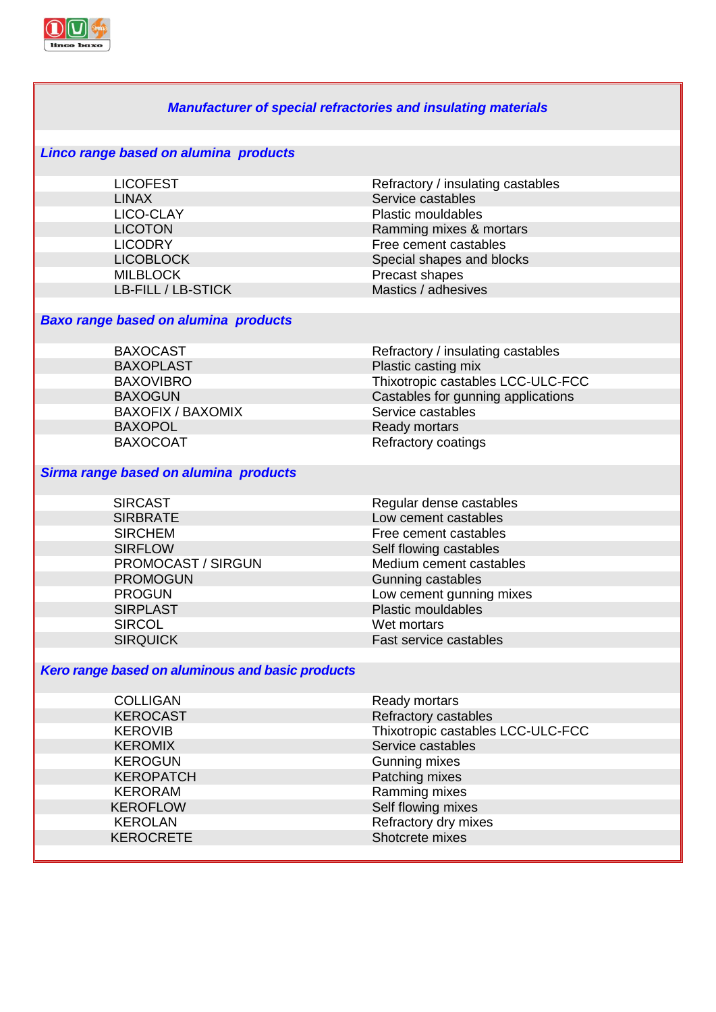

| <b>Manufacturer of special refractories and insulating materials</b> |                                    |  |
|----------------------------------------------------------------------|------------------------------------|--|
| Linco range based on alumina products                                |                                    |  |
| <b>LICOFEST</b>                                                      | Refractory / insulating castables  |  |
| <b>LINAX</b>                                                         | Service castables                  |  |
| LICO-CLAY                                                            | <b>Plastic mouldables</b>          |  |
| <b>LICOTON</b>                                                       | Ramming mixes & mortars            |  |
| <b>LICODRY</b>                                                       | Free cement castables              |  |
| <b>LICOBLOCK</b>                                                     | Special shapes and blocks          |  |
| <b>MILBLOCK</b>                                                      | Precast shapes                     |  |
| LB-FILL / LB-STICK                                                   | Mastics / adhesives                |  |
|                                                                      |                                    |  |
| <b>Baxo range based on alumina products</b>                          |                                    |  |
| <b>BAXOCAST</b>                                                      | Refractory / insulating castables  |  |
| <b>BAXOPLAST</b>                                                     | Plastic casting mix                |  |
| <b>BAXOVIBRO</b>                                                     | Thixotropic castables LCC-ULC-FCC  |  |
| <b>BAXOGUN</b>                                                       | Castables for gunning applications |  |
| <b>BAXOFIX / BAXOMIX</b>                                             | Service castables                  |  |
| <b>BAXOPOL</b>                                                       | Ready mortars                      |  |
| <b>BAXOCOAT</b>                                                      | Refractory coatings                |  |
|                                                                      |                                    |  |
| Sirma range based on alumina products                                |                                    |  |
| <b>SIRCAST</b>                                                       | Regular dense castables            |  |
| <b>SIRBRATE</b>                                                      | Low cement castables               |  |
| <b>SIRCHEM</b>                                                       | Free cement castables              |  |
| <b>SIRFLOW</b>                                                       | Self flowing castables             |  |
| PROMOCAST / SIRGUN                                                   | Medium cement castables            |  |
| <b>PROMOGUN</b>                                                      | Gunning castables                  |  |
| <b>PROGUN</b>                                                        | Low cement gunning mixes           |  |
| <b>SIRPLAST</b>                                                      | <b>Plastic mouldables</b>          |  |
| <b>SIRCOL</b>                                                        | Wet mortars                        |  |
| <b>SIRQUICK</b>                                                      | Fast service castables             |  |
|                                                                      |                                    |  |
| Kero range based on aluminous and basic products                     |                                    |  |
| <b>COLLIGAN</b>                                                      | Ready mortars                      |  |
| <b>KEROCAST</b>                                                      | Refractory castables               |  |
| <b>KEROVIB</b>                                                       | Thixotropic castables LCC-ULC-FCC  |  |
| <b>KEROMIX</b>                                                       | Service castables                  |  |
| <b>KEROGUN</b>                                                       | Gunning mixes                      |  |
| <b>KEROPATCH</b>                                                     | Patching mixes                     |  |
| <b>KERORAM</b>                                                       | Ramming mixes                      |  |
| <b>KEROFLOW</b>                                                      | Self flowing mixes                 |  |
| <b>KEROLAN</b>                                                       | Refractory dry mixes               |  |
| <b>KEROCRETE</b>                                                     | Shotcrete mixes                    |  |
|                                                                      |                                    |  |
|                                                                      |                                    |  |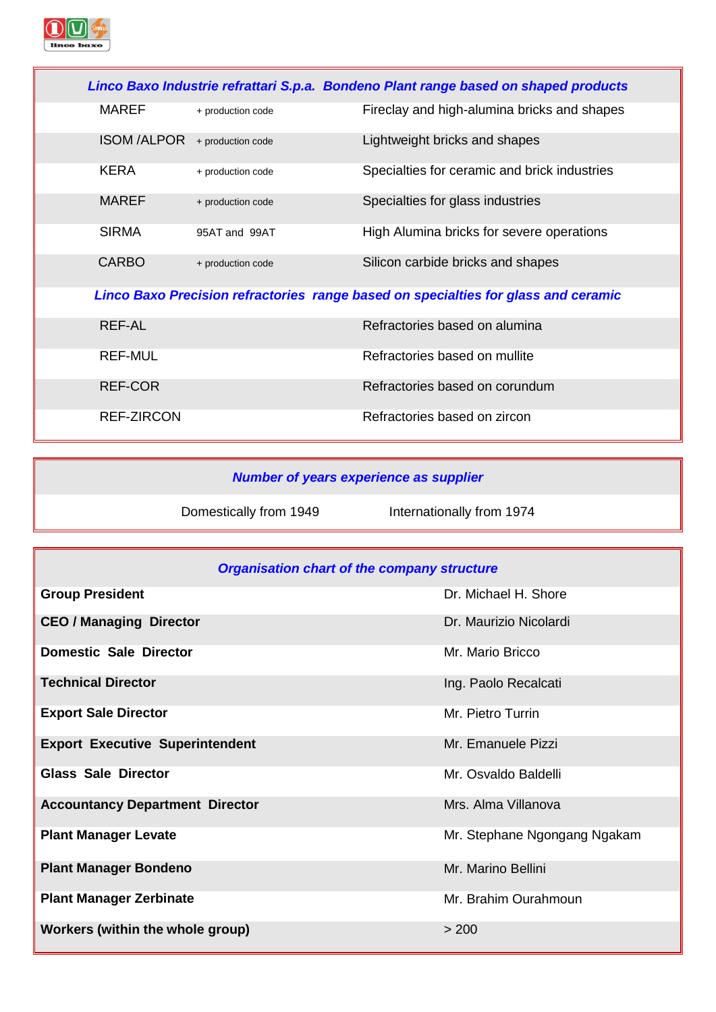

|                               |                   | Linco Baxo Industrie refrattari S.p.a. Bondeno Plant range based on shaped products |
|-------------------------------|-------------------|-------------------------------------------------------------------------------------|
| <b>MAREF</b>                  | + production code | Fireclay and high-alumina bricks and shapes                                         |
| ISOM /ALPOR + production code |                   | Lightweight bricks and shapes                                                       |
| <b>KERA</b>                   | + production code | Specialties for ceramic and brick industries                                        |
| <b>MAREF</b>                  | + production code | Specialties for glass industries                                                    |
| <b>SIRMA</b>                  | 95AT and 99AT     | High Alumina bricks for severe operations                                           |
| <b>CARBO</b>                  | + production code | Silicon carbide bricks and shapes                                                   |
|                               |                   | Linco Baxo Precision refractories range based on specialties for glass and ceramic  |
| <b>REF-AL</b>                 |                   | Refractories based on alumina                                                       |
| <b>REF-MUL</b>                |                   | Refractories based on mullite                                                       |
| <b>REF-COR</b>                |                   | Refractories based on corundum                                                      |
| REF-ZIRCON                    |                   | Refractories based on zircon                                                        |

### *Number of years experience as supplier*

Domestically from 1949 **Internationally from 1974** 

| <b>Organisation chart of the company structure</b> |                              |  |
|----------------------------------------------------|------------------------------|--|
| <b>Group President</b>                             | Dr. Michael H. Shore         |  |
| <b>CEO / Managing Director</b>                     | Dr. Maurizio Nicolardi       |  |
| <b>Domestic Sale Director</b>                      | Mr. Mario Bricco             |  |
| <b>Technical Director</b>                          | Ing. Paolo Recalcati         |  |
| <b>Export Sale Director</b>                        | Mr. Pietro Turrin            |  |
| <b>Export Executive Superintendent</b>             | Mr. Emanuele Pizzi           |  |
| <b>Glass Sale Director</b>                         | Mr. Osvaldo Baldelli         |  |
| <b>Accountancy Department Director</b>             | Mrs. Alma Villanova          |  |
| <b>Plant Manager Levate</b>                        | Mr. Stephane Ngongang Ngakam |  |
| <b>Plant Manager Bondeno</b>                       | Mr. Marino Bellini           |  |
| <b>Plant Manager Zerbinate</b>                     | Mr. Brahim Ourahmoun         |  |
| Workers (within the whole group)                   | > 200                        |  |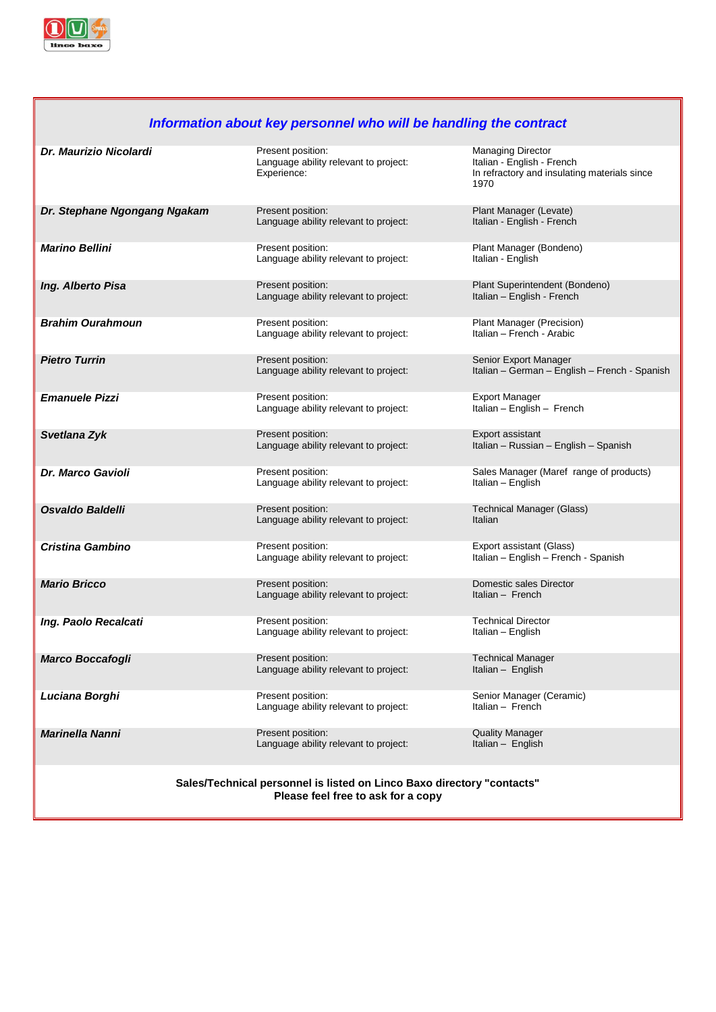

### *Information about key personnel who will be handling the contract*

| <b>Dr. Maurizio Nicolardi</b>                                                                                | Present position:<br>Language ability relevant to project:<br>Experience: | <b>Managing Director</b><br>Italian - English - French<br>In refractory and insulating materials since<br>1970 |  |
|--------------------------------------------------------------------------------------------------------------|---------------------------------------------------------------------------|----------------------------------------------------------------------------------------------------------------|--|
| Dr. Stephane Ngongang Ngakam                                                                                 | Present position:<br>Language ability relevant to project:                | Plant Manager (Levate)<br>Italian - English - French                                                           |  |
| <b>Marino Bellini</b>                                                                                        | Present position:<br>Language ability relevant to project:                | Plant Manager (Bondeno)<br>Italian - English                                                                   |  |
| Ing. Alberto Pisa                                                                                            | Present position:<br>Language ability relevant to project:                | Plant Superintendent (Bondeno)<br>Italian - English - French                                                   |  |
| <b>Brahim Ourahmoun</b>                                                                                      | Present position:<br>Language ability relevant to project:                | Plant Manager (Precision)<br>Italian - French - Arabic                                                         |  |
| <b>Pietro Turrin</b>                                                                                         | Present position:<br>Language ability relevant to project:                | Senior Export Manager<br>Italian - German - English - French - Spanish                                         |  |
| <b>Emanuele Pizzi</b>                                                                                        | Present position:<br>Language ability relevant to project:                | <b>Export Manager</b><br>Italian - English - French                                                            |  |
| Svetlana Zyk                                                                                                 | Present position:<br>Language ability relevant to project:                | Export assistant<br>Italian - Russian - English - Spanish                                                      |  |
| <b>Dr. Marco Gavioli</b>                                                                                     | Present position:<br>Language ability relevant to project:                | Sales Manager (Maref range of products)<br>Italian - English                                                   |  |
| Osvaldo Baldelli                                                                                             | Present position:<br>Language ability relevant to project:                | <b>Technical Manager (Glass)</b><br>Italian                                                                    |  |
| <b>Cristina Gambino</b>                                                                                      | Present position:<br>Language ability relevant to project:                | Export assistant (Glass)<br>Italian - English - French - Spanish                                               |  |
| <b>Mario Bricco</b>                                                                                          | Present position:<br>Language ability relevant to project:                | Domestic sales Director<br>Italian - French                                                                    |  |
| Ing. Paolo Recalcati                                                                                         | Present position:<br>Language ability relevant to project:                | <b>Technical Director</b><br>Italian - English                                                                 |  |
| <b>Marco Boccafogli</b>                                                                                      | Present position:<br>Language ability relevant to project:                | <b>Technical Manager</b><br>Italian - English                                                                  |  |
| Luciana Borghi                                                                                               | Present position:<br>Language ability relevant to project:                | Senior Manager (Ceramic)<br>Italian - French                                                                   |  |
| <b>Marinella Nanni</b>                                                                                       | Present position:<br>Language ability relevant to project:                | <b>Quality Manager</b><br>Italian - English                                                                    |  |
| Sales/Technical personnel is listed on Linco Baxo directory "contacts"<br>Please feel free to ask for a copy |                                                                           |                                                                                                                |  |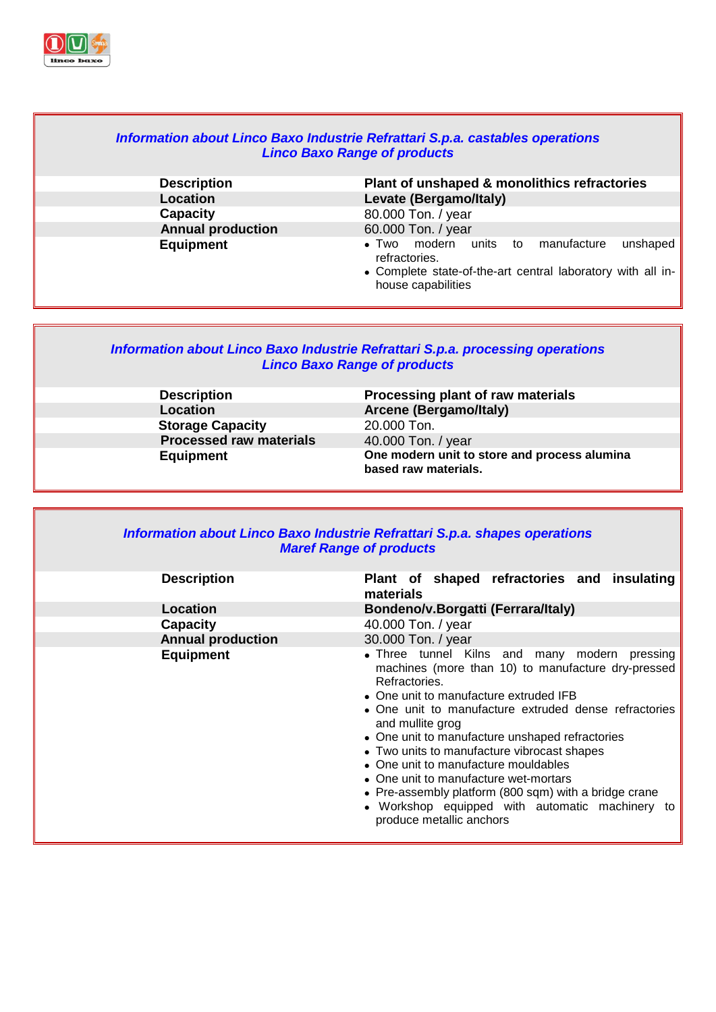

#### *Information about Linco Baxo Industrie Refrattari S.p.a. castables operations Linco Baxo Range of products* **Description Plant of unshaped & monolithics refractories Location Levate (Bergamo/Italy) Capacity** 80.000 Ton. / year **Annual production** 60.000 Ton. / year modern units to manufacture unshaped refractories. Complete state-of-the-art central laboratory with all inhouse capabilities

#### *Information about Linco Baxo Industrie Refrattari S.p.a. processing operations Linco Baxo Range of products*

**Location Arcene (Bergamo/Italy) Storage Capacity** 20.000 Ton.<br>**Processed raw materials** 40.000 Ton. / year **Processed raw materials** 

**Description Processing plant of raw materials Equipment One modern unit to store and process alumina based raw materials.**

| Information about Linco Baxo Industrie Refrattari S.p.a. shapes operations<br><b>Maref Range of products</b> |                                                                                                                                                                                                                                                                                                                                                                                                                                                                                                                                                                        |  |  |
|--------------------------------------------------------------------------------------------------------------|------------------------------------------------------------------------------------------------------------------------------------------------------------------------------------------------------------------------------------------------------------------------------------------------------------------------------------------------------------------------------------------------------------------------------------------------------------------------------------------------------------------------------------------------------------------------|--|--|
| <b>Description</b>                                                                                           | Plant of shaped refractories and insulating<br>materials                                                                                                                                                                                                                                                                                                                                                                                                                                                                                                               |  |  |
| Location                                                                                                     | Bondeno/v.Borgatti (Ferrara/Italy)                                                                                                                                                                                                                                                                                                                                                                                                                                                                                                                                     |  |  |
| <b>Capacity</b>                                                                                              | 40.000 Ton. / year                                                                                                                                                                                                                                                                                                                                                                                                                                                                                                                                                     |  |  |
| <b>Annual production</b>                                                                                     | 30.000 Ton. / year                                                                                                                                                                                                                                                                                                                                                                                                                                                                                                                                                     |  |  |
| <b>Equipment</b>                                                                                             | • Three tunnel Kilns and many modern pressing<br>machines (more than 10) to manufacture dry-pressed<br>Refractories.<br>• One unit to manufacture extruded IFB<br>• One unit to manufacture extruded dense refractories<br>and mullite grog<br>• One unit to manufacture unshaped refractories<br>• Two units to manufacture vibrocast shapes<br>• One unit to manufacture mouldables<br>• One unit to manufacture wet-mortars<br>• Pre-assembly platform (800 sqm) with a bridge crane<br>• Workshop equipped with automatic machinery to<br>produce metallic anchors |  |  |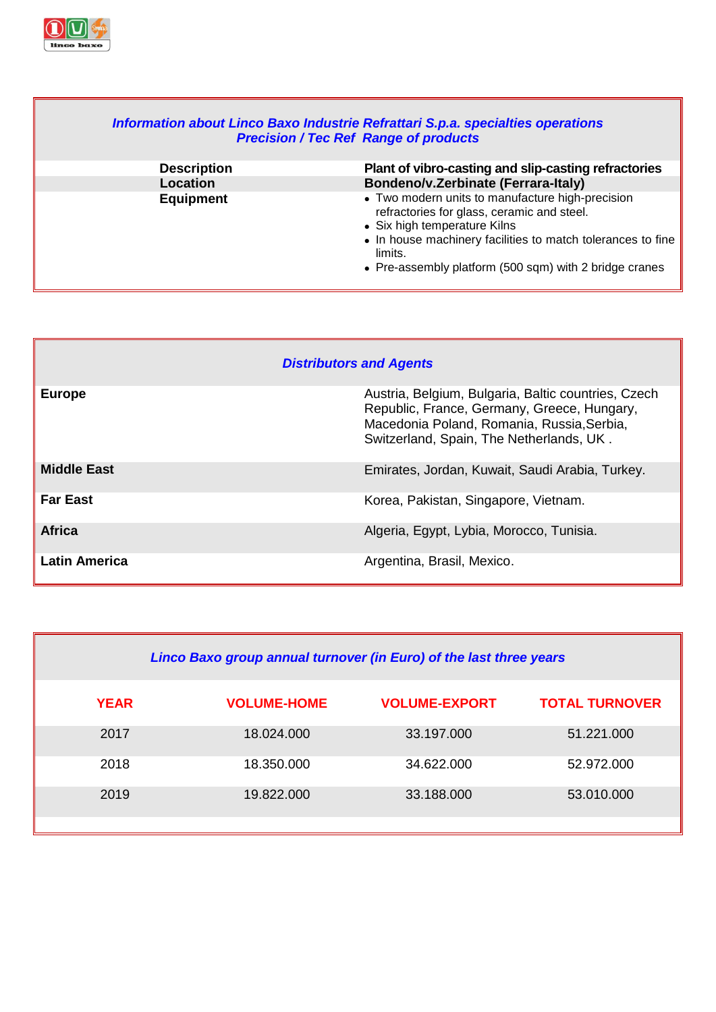

| Information about Linco Baxo Industrie Refrattari S.p.a. specialties operations<br><b>Precision / Tec Ref Range of products</b> |                                                                                                                                                                                                                                                                    |  |
|---------------------------------------------------------------------------------------------------------------------------------|--------------------------------------------------------------------------------------------------------------------------------------------------------------------------------------------------------------------------------------------------------------------|--|
| <b>Description</b>                                                                                                              | Plant of vibro-casting and slip-casting refractories                                                                                                                                                                                                               |  |
| <b>Location</b>                                                                                                                 | Bondeno/v.Zerbinate (Ferrara-Italy)                                                                                                                                                                                                                                |  |
| <b>Equipment</b>                                                                                                                | • Two modern units to manufacture high-precision<br>refractories for glass, ceramic and steel.<br>• Six high temperature Kilns<br>• In house machinery facilities to match tolerances to fine<br>limits.<br>• Pre-assembly platform (500 sqm) with 2 bridge cranes |  |

┓

| <b>Distributors and Agents</b> |                                                                                                                                                                                              |  |  |
|--------------------------------|----------------------------------------------------------------------------------------------------------------------------------------------------------------------------------------------|--|--|
| <b>Europe</b>                  | Austria, Belgium, Bulgaria, Baltic countries, Czech<br>Republic, France, Germany, Greece, Hungary,<br>Macedonia Poland, Romania, Russia, Serbia,<br>Switzerland, Spain, The Netherlands, UK. |  |  |
| <b>Middle East</b>             | Emirates, Jordan, Kuwait, Saudi Arabia, Turkey.                                                                                                                                              |  |  |
| <b>Far East</b>                | Korea, Pakistan, Singapore, Vietnam.                                                                                                                                                         |  |  |
| <b>Africa</b>                  | Algeria, Egypt, Lybia, Morocco, Tunisia.                                                                                                                                                     |  |  |
| <b>Latin America</b>           | Argentina, Brasil, Mexico.                                                                                                                                                                   |  |  |

| Linco Baxo group annual turnover (in Euro) of the last three years |                    |                      |                       |
|--------------------------------------------------------------------|--------------------|----------------------|-----------------------|
| <b>YEAR</b>                                                        | <b>VOLUME-HOME</b> | <b>VOLUME-EXPORT</b> | <b>TOTAL TURNOVER</b> |
| 2017                                                               | 18.024.000         | 33.197.000           | 51.221.000            |
| 2018                                                               | 18.350.000         | 34.622.000           | 52.972.000            |
| 2019                                                               | 19.822.000         | 33.188.000           | 53.010.000            |